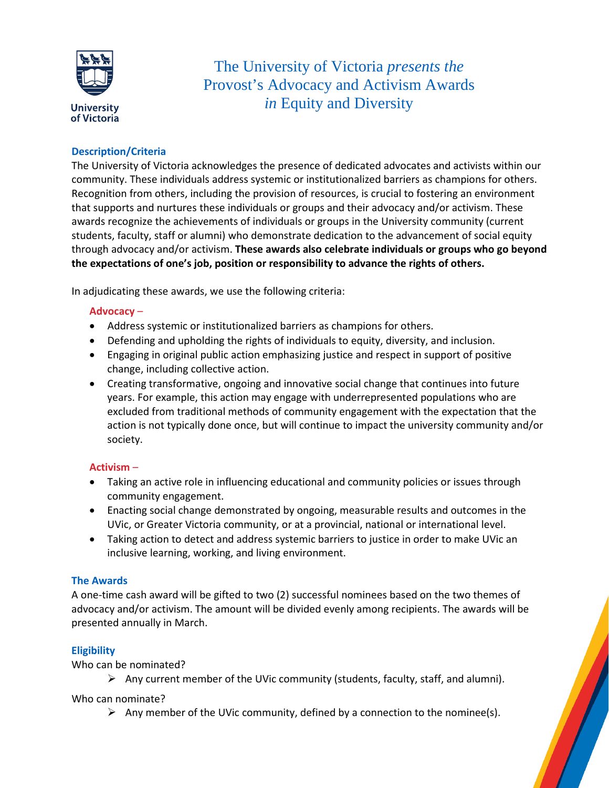

The University of Victoria *presents the* Provost's Advocacy and Activism Awards *in* Equity and Diversity

## **Description/Criteria**

The University of Victoria acknowledges the presence of dedicated advocates and activists within our community. These individuals address systemic or institutionalized barriers as champions for others. Recognition from others, including the provision of resources, is crucial to fostering an environment that supports and nurtures these individuals or groups and their advocacy and/or activism. These awards recognize the achievements of individuals or groups in the University community (current students, faculty, staff or alumni) who demonstrate dedication to the advancement of social equity through advocacy and/or activism. **These awards also celebrate individuals or groups who go beyond the expectations of one's job, position or responsibility to advance the rights of others.**

In adjudicating these awards, we use the following criteria:

#### **Advocacy** –

- Address systemic or institutionalized barriers as champions for others.
- Defending and upholding the rights of individuals to equity, diversity, and inclusion.
- Engaging in original public action emphasizing justice and respect in support of positive change, including collective action.
- Creating transformative, ongoing and innovative social change that continues into future years. For example, this action may engage with underrepresented populations who are excluded from traditional methods of community engagement with the expectation that the action is not typically done once, but will continue to impact the university community and/or society.

## **Activism** –

- Taking an active role in influencing educational and community policies or issues through community engagement.
- Enacting social change demonstrated by ongoing, measurable results and outcomes in the UVic, or Greater Victoria community, or at a provincial, national or international level.
- Taking action to detect and address systemic barriers to justice in order to make UVic an inclusive learning, working, and living environment.

## **The Awards**

A one-time cash award will be gifted to two (2) successful nominees based on the two themes of advocacy and/or activism. The amount will be divided evenly among recipients. The awards will be presented annually in March.

## **Eligibility**

Who can be nominated?

Any current member of the UVic community (students, faculty, staff, and alumni).

Who can nominate?

Any member of the UVic community, defined by a connection to the nominee(s).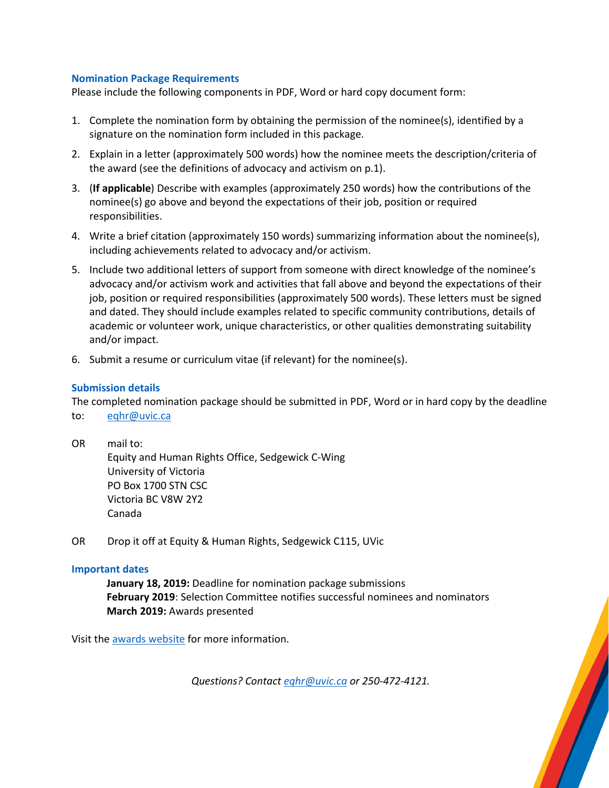#### **Nomination Package Requirements**

Please include the following components in PDF, Word or hard copy document form:

- 1. Complete the nomination form by obtaining the permission of the nominee(s), identified by a signature on the nomination form included in this package.
- 2. Explain in a letter (approximately 500 words) how the nominee meets the description/criteria of the award (see the definitions of advocacy and activism on p.1).
- 3. (**If applicable**) Describe with examples (approximately 250 words) how the contributions of the nominee(s) go above and beyond the expectations of their job, position or required responsibilities.
- 4. Write a brief citation (approximately 150 words) summarizing information about the nominee(s), including achievements related to advocacy and/or activism.
- 5. Include two additional letters of support from someone with direct knowledge of the nominee's advocacy and/or activism work and activities that fall above and beyond the expectations of their job, position or required responsibilities (approximately 500 words). These letters must be signed and dated. They should include examples related to specific community contributions, details of academic or volunteer work, unique characteristics, or other qualities demonstrating suitability and/or impact.
- 6. Submit a resume or curriculum vitae (if relevant) for the nominee(s).

## **Submission details**

The completed nomination package should be submitted in PDF, Word or in hard copy by the deadline to: [eqhr@uvic.ca](mailto:eqhr@uvic.ca)

OR mail to:

Equity and Human Rights Office, Sedgewick C-Wing University of Victoria PO Box 1700 STN CSC Victoria BC V8W 2Y2 Canada

OR Drop it off at Equity & Human Rights, Sedgewick C115, UVic

#### **Important dates**

**January 18, 2019:** Deadline for nomination package submissions **February 2019**: Selection Committee notifies successful nominees and nominators **March 2019:** Awards presented

Visit the [awards website](https://www.uvic.ca/equity/education/awards/index.php) for more information.

*Questions? Contact [eqhr@uvic.ca](mailto:eqhr@uvic.ca) or 250-472-4121.*